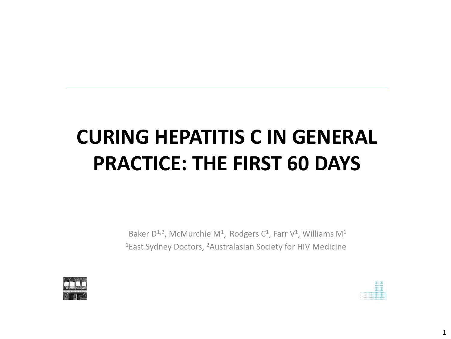# **CURING HEPATITIS C IN GENERAL PRACTICE: THE FIRST 60 DAYS**

Baker  $D^{1,2}$ , McMurchie M<sup>1</sup>, Rodgers C<sup>1</sup>, Farr V<sup>1</sup>, Williams M<sup>1</sup> 1East Sydney Doctors, 2Australasian Society for HIV Medicine

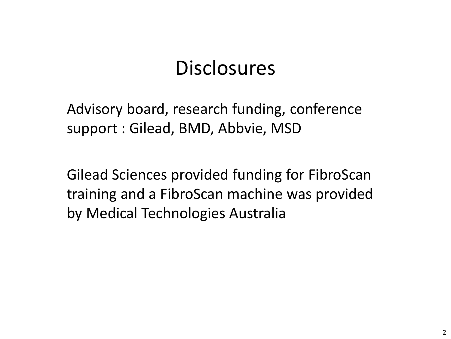### **Disclosures**

Advisory board, research funding, conference support : Gilead, BMD, Abbvie, MSD

Gilead Sciences provided funding for FibroScan training and a FibroScan machine was provided by Medical Technologies Australia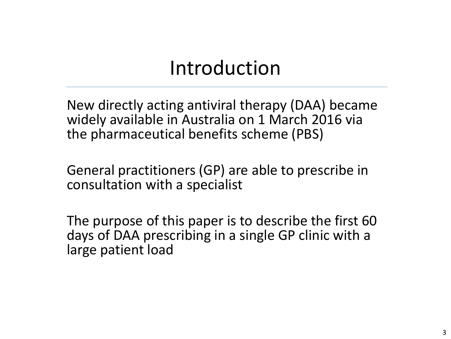### Introduction

New directly acting antiviral therapy (DAA) became widely available in Australia on 1 March 2016 via the pharmaceutical benefits scheme (PBS)

General practitioners (GP) are able to prescribe in consultation with a specialist

The purpose of this paper is to describe the first 60 days of DAA prescribing in a single GP clinic with a large patient load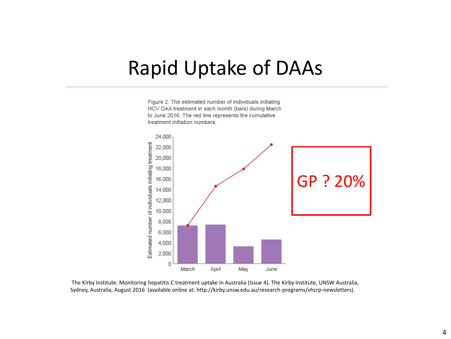#### Rapid Uptake of DAAs

Figure 2: The estimated number of individuals initiating HCV DAA treatment in each month (bars) during March to June 2016. The red line represents the cumulative treatment initiation numbers.



The Kirby Institute. Monitoring hepatitis C treatment uptake in Australia (Issue 4). The Kirby Institute, UNSW Australia, Sydney, Australia, August 2016 (available online at: http://kirby.unsw.edu.au/research-programs/vhcrp-newsletters).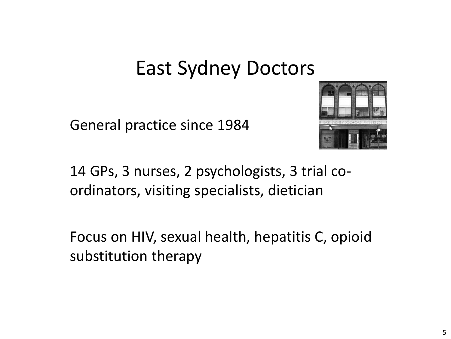### East Sydney Doctors

General practice since 1984



14 GPs, 3 nurses, 2 psychologists, 3 trial coordinators, visiting specialists, dietician

Focus on HIV, sexual health, hepatitis C, opioid substitution therapy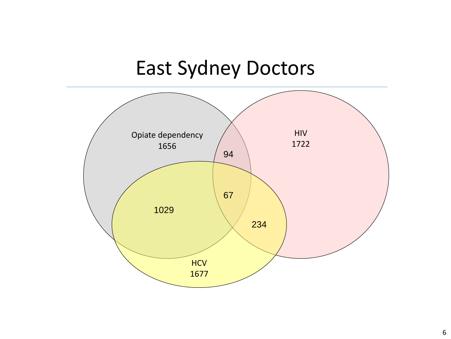## East Sydney Doctors

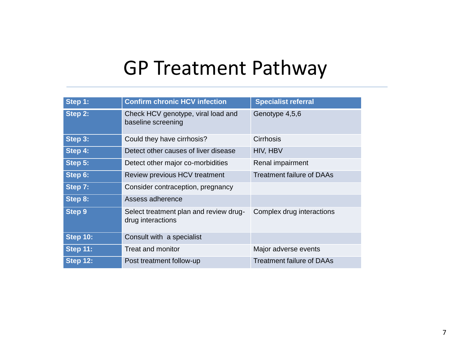### GP Treatment Pathway

| Step 1:         | <b>Confirm chronic HCV infection</b>                        | <b>Specialist referral</b>       |
|-----------------|-------------------------------------------------------------|----------------------------------|
| Step 2:         | Check HCV genotype, viral load and<br>baseline screening    | Genotype 4,5,6                   |
| Step 3:         | Could they have cirrhosis?                                  | Cirrhosis                        |
| Step 4:         | Detect other causes of liver disease                        | HIV, HBV                         |
| Step 5:         | Detect other major co-morbidities                           | Renal impairment                 |
| Step 6:         | Review previous HCV treatment                               | <b>Treatment failure of DAAs</b> |
| Step 7:         | Consider contraception, pregnancy                           |                                  |
| Step 8:         | Assess adherence                                            |                                  |
| <b>Step 9</b>   | Select treatment plan and review drug-<br>drug interactions | Complex drug interactions        |
| <b>Step 10:</b> | Consult with a specialist                                   |                                  |
| <b>Step 11:</b> | <b>Treat and monitor</b>                                    | Major adverse events             |
| <b>Step 12:</b> | Post treatment follow-up                                    | <b>Treatment failure of DAAs</b> |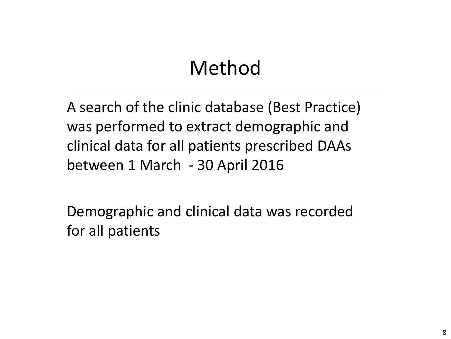## Method

A search of the clinic database (Best Practice) was performed to extract demographic and clinical data for all patients prescribed DAAs between 1 March - 30 April 2016

Demographic and clinical data was recorded for all patients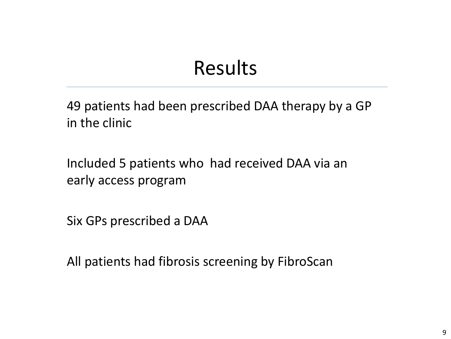### Results

49 patients had been prescribed DAA therapy by a GP in the clinic

Included 5 patients who had received DAA via an early access program

Six GPs prescribed a DAA

All patients had fibrosis screening by FibroScan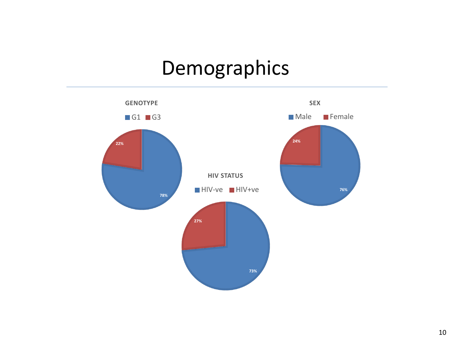## Demographics

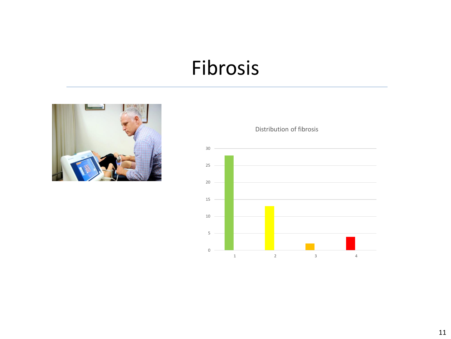#### Fibrosis





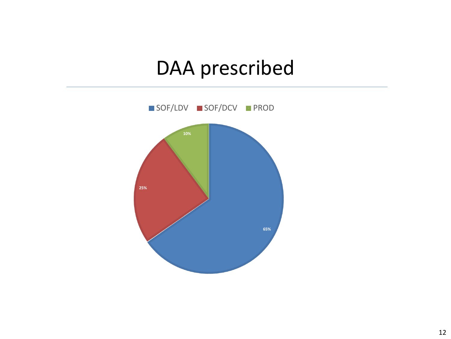### DAA prescribed

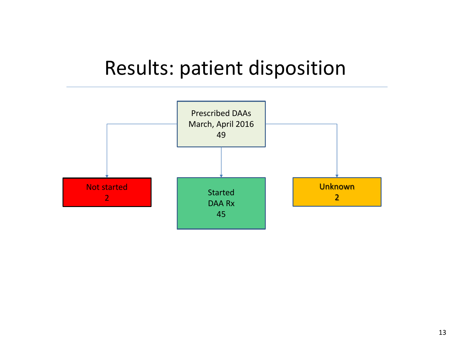#### Results: patient disposition

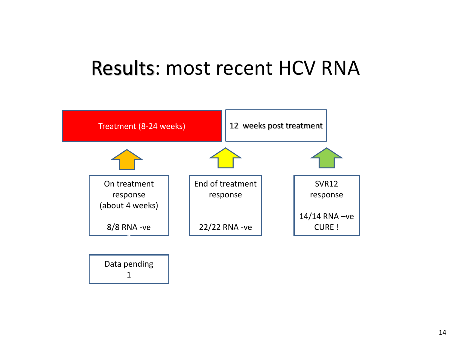#### Results: most recent HCV RNA

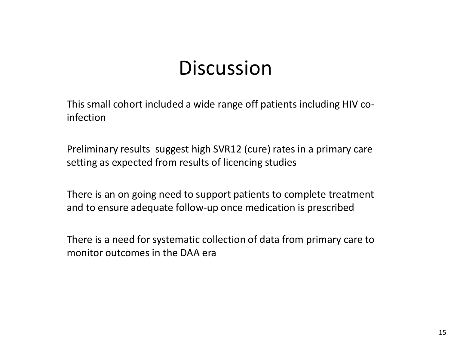#### **Discussion**

This small cohort included a wide range off patients including HIV coinfection

Preliminary results suggest high SVR12 (cure) rates in a primary care setting as expected from results of licencing studies

There is an on going need to support patients to complete treatment and to ensure adequate follow-up once medication is prescribed

There is a need for systematic collection of data from primary care to monitor outcomes in the DAA era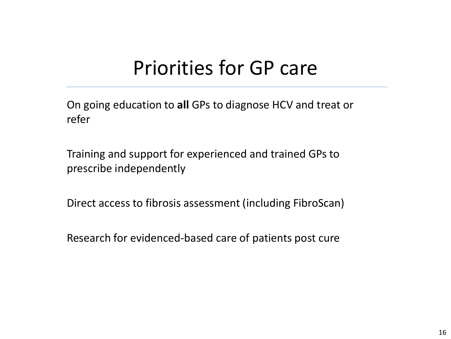### Priorities for GP care

On going education to **all** GPs to diagnose HCV and treat or refer

Training and support for experienced and trained GPs to prescribe independently

Direct access to fibrosis assessment (including FibroScan)

Research for evidenced-based care of patients post cure